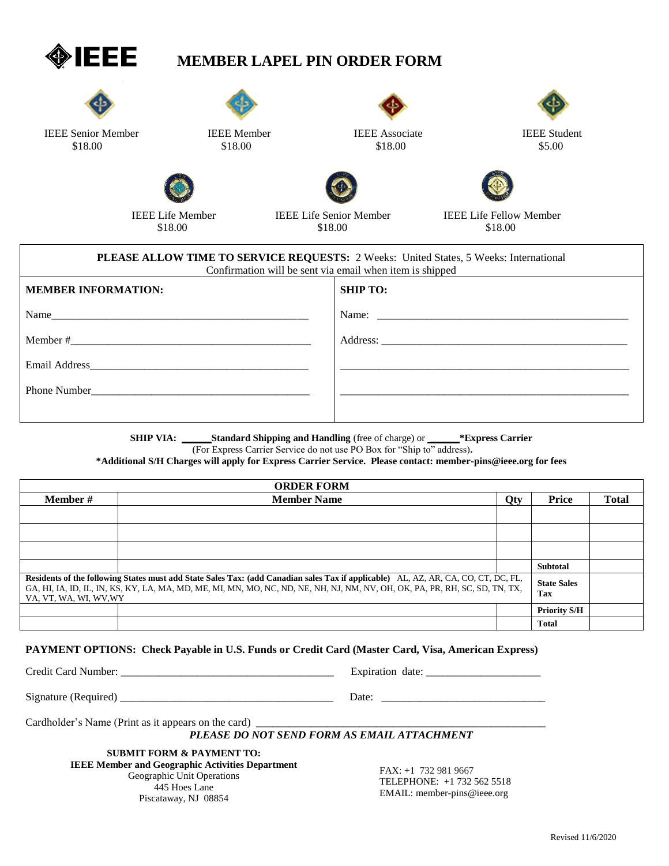

## **MEMBER LAPEL PIN ORDER FORM**







\$18.00 \$18.00 \$18.00 \$18.00 \$18.00 \$18.00 \$5.00



IEEE Senior Member IEEE Member IEEE Associate IEEE Student



\$18.00 \$18.00 \$18.00 \$18.00

IEEE Life Member IEEE Life Senior Member IEEE Life Fellow Member

| <b>PLEASE ALLOW TIME TO SERVICE REQUESTS: 2 Weeks: United States, 5 Weeks: International</b><br>Confirmation will be sent via email when item is shipped |                 |  |  |
|----------------------------------------------------------------------------------------------------------------------------------------------------------|-----------------|--|--|
| <b>MEMBER INFORMATION:</b>                                                                                                                               | <b>SHIP TO:</b> |  |  |
| Name                                                                                                                                                     | Name:           |  |  |
|                                                                                                                                                          |                 |  |  |
|                                                                                                                                                          |                 |  |  |
|                                                                                                                                                          |                 |  |  |
|                                                                                                                                                          |                 |  |  |

**SHIP VIA: \_\_\_\_\_\_Standard Shipping and Handling** (free of charge) or **\_\_\_\_\_\_\*Express Carrier**

(For Express Carrier Service do not use PO Box for "Ship to" address)**.**

**\*Additional S/H Charges will apply for Express Carrier Service. Please contact: member-pins@ieee.org for fees**

| <b>ORDER FORM</b>                                                                                                                                                                                                                                                                           |                    |                           |                     |              |
|---------------------------------------------------------------------------------------------------------------------------------------------------------------------------------------------------------------------------------------------------------------------------------------------|--------------------|---------------------------|---------------------|--------------|
| <b>Member</b> #                                                                                                                                                                                                                                                                             | <b>Member Name</b> | Qty                       | Price               | <b>Total</b> |
|                                                                                                                                                                                                                                                                                             |                    |                           |                     |              |
|                                                                                                                                                                                                                                                                                             |                    |                           |                     |              |
|                                                                                                                                                                                                                                                                                             |                    |                           |                     |              |
|                                                                                                                                                                                                                                                                                             |                    |                           | <b>Subtotal</b>     |              |
| Residents of the following States must add State Sales Tax: (add Canadian sales Tax if applicable) AL, AZ, AR, CA, CO, CT, DC, FL,<br>GA, HI, IA, ID, IL, IN, KS, KY, LA, MA, MD, ME, MI, MN, MO, NC, ND, NE, NH, NJ, NM, NV, OH, OK, PA, PR, RH, SC, SD, TN, TX,<br>VA, VT, WA, WI, WV, WY |                    | <b>State Sales</b><br>Tax |                     |              |
|                                                                                                                                                                                                                                                                                             |                    |                           | <b>Priority S/H</b> |              |
|                                                                                                                                                                                                                                                                                             |                    |                           | <b>Total</b>        |              |

## **PAYMENT OPTIONS: Check Payable in U.S. Funds or Credit Card (Master Card, Visa, American Express)**

Credit Card Number: \_\_\_\_\_\_\_\_\_\_\_\_\_\_\_\_\_\_\_\_\_\_\_\_\_\_\_\_\_\_\_\_\_\_\_\_\_\_\_ Expiration date: \_\_\_\_\_\_\_\_\_\_\_\_\_\_\_\_\_\_\_\_\_

Signature (Required) \_\_\_\_\_\_\_\_\_\_\_\_\_\_\_\_\_\_\_\_\_\_\_\_\_\_\_\_\_\_\_\_\_\_\_\_\_\_\_ Date: \_\_\_\_\_\_\_\_\_\_\_\_\_\_\_\_\_\_\_\_\_\_\_\_\_\_\_\_\_\_

Cardholder's Name (Print as it appears on the card) \_\_\_\_\_\_\_\_\_\_\_\_\_\_\_\_\_\_\_\_\_\_\_\_\_\_\_\_\_

## *PLEASE DO NOT SEND FORM AS EMAIL ATTACHMENT*

**SUBMIT FORM & PAYMENT TO: IEEE Member and Geographic Activities Department** Geographic Unit Operations 445 Hoes Lane Piscataway, NJ 08854

FAX: +1 732 981 9667 TELEPHONE: +1 732 562 5518 EMAIL[: member-pins@ieee.org](mailto:member-pins@ieee.org)